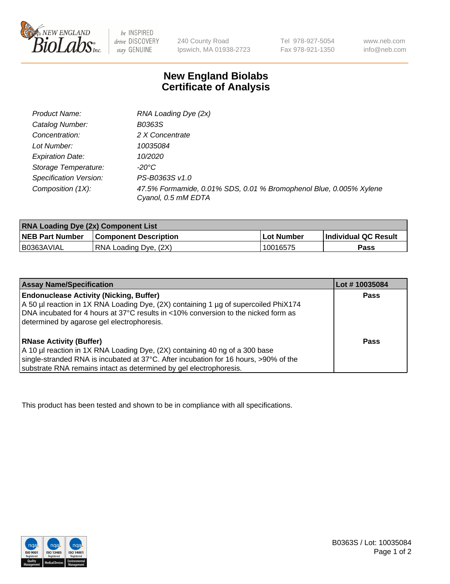

 $be$  INSPIRED drive DISCOVERY stay GENUINE

240 County Road Ipswich, MA 01938-2723 Tel 978-927-5054 Fax 978-921-1350 www.neb.com info@neb.com

## **New England Biolabs Certificate of Analysis**

| Product Name:           | RNA Loading Dye (2x)                                                                      |
|-------------------------|-------------------------------------------------------------------------------------------|
| Catalog Number:         | B0363S                                                                                    |
| Concentration:          | 2 X Concentrate                                                                           |
| Lot Number:             | 10035084                                                                                  |
| <b>Expiration Date:</b> | 10/2020                                                                                   |
| Storage Temperature:    | -20°C                                                                                     |
| Specification Version:  | PS-B0363S v1.0                                                                            |
| Composition (1X):       | 47.5% Formamide, 0.01% SDS, 0.01 % Bromophenol Blue, 0.005% Xylene<br>Cyanol, 0.5 mM EDTA |

| <b>RNA Loading Dye (2x) Component List</b> |                              |            |                             |  |
|--------------------------------------------|------------------------------|------------|-----------------------------|--|
| <b>NEB Part Number</b>                     | <b>Component Description</b> | Lot Number | <b>Individual QC Result</b> |  |
| B0363AVIAL                                 | RNA Loading Dye, (2X)        | 10016575   | Pass                        |  |

| <b>Assay Name/Specification</b>                                                                                                                                                                                                                                             | Lot #10035084 |
|-----------------------------------------------------------------------------------------------------------------------------------------------------------------------------------------------------------------------------------------------------------------------------|---------------|
| <b>Endonuclease Activity (Nicking, Buffer)</b><br>A 50 µl reaction in 1X RNA Loading Dye, (2X) containing 1 µg of supercoiled PhiX174<br>DNA incubated for 4 hours at 37°C results in <10% conversion to the nicked form as<br>determined by agarose gel electrophoresis.   | <b>Pass</b>   |
| <b>RNase Activity (Buffer)</b><br>A 10 µl reaction in 1X RNA Loading Dye, (2X) containing 40 ng of a 300 base<br>single-stranded RNA is incubated at 37°C. After incubation for 16 hours, >90% of the<br>substrate RNA remains intact as determined by gel electrophoresis. | Pass          |

This product has been tested and shown to be in compliance with all specifications.